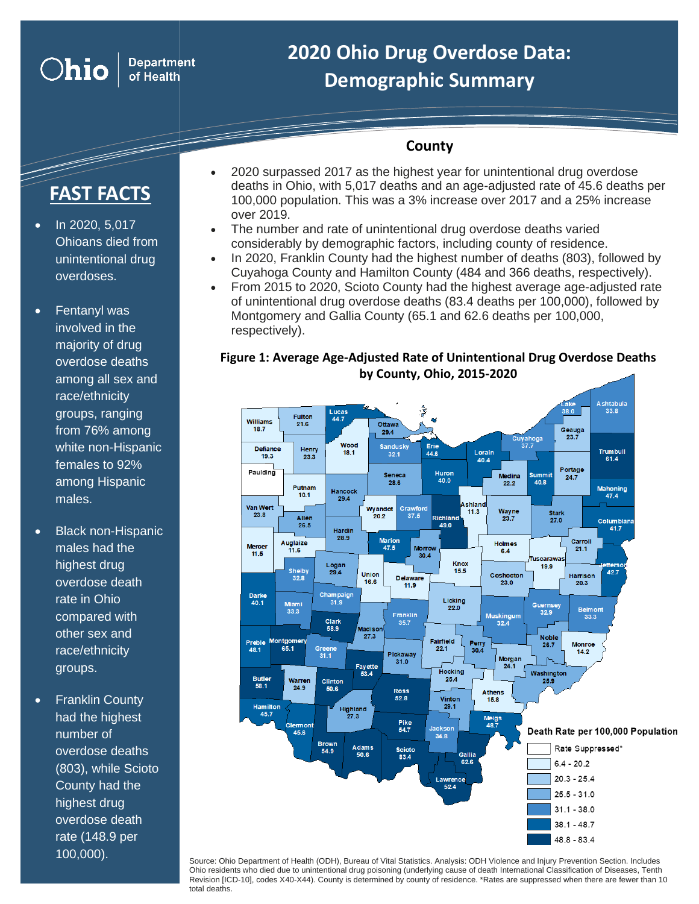## **2020 Ohio Drug Overdose Data: Demographic Summary**

## **County**

# **FAST FACTS**

• In 2020, 5,017 Ohioans died from unintentional drug overdoses.

**Ohio** 

**Department** of Health

- Fentanyl was involved in the majority of drug overdose deaths among all sex and race/ethnicity groups, ranging from 76% among white non-Hispanic females to 92% among Hispanic males.
- Black non-Hispanic males had the highest drug overdose death rate in Ohio compared with other sex and race/ethnicity groups.
- **Franklin County** had the highest number of overdose deaths (803), while Scioto County had the highest drug overdose death rate (148.9 per 100,000).
- 2020 surpassed 2017 as the highest year for unintentional drug overdose deaths in Ohio, with 5,017 deaths and an age-adjusted rate of 45.6 deaths per 100,000 population. This was a 3% increase over 2017 and a 25% increase over 2019.
- The number and rate of unintentional drug overdose deaths varied considerably by demographic factors, including county of residence.
- In 2020, Franklin County had the highest number of deaths (803), followed by Cuyahoga County and Hamilton County (484 and 366 deaths, respectively).
- From 2015 to 2020, Scioto County had the highest average age-adjusted rate of unintentional drug overdose deaths (83.4 deaths per 100,000), followed by Montgomery and Gallia County (65.1 and 62.6 deaths per 100,000, respectively).

#### **Figure 1: Average Age-Adjusted Rate of Unintentional Drug Overdose Deaths by County, Ohio, 2015-2020**



Source: Ohio Department of Health (ODH), Bureau of Vital Statistics. Analysis: ODH Violence and Injury Prevention Section. Includes Ohio residents who died due to unintentional drug poisoning (underlying cause of death International Classification of Diseases, Tenth Revision [ICD-10], codes X40-X44). County is determined by county of residence. \*Rates are suppressed when there are fewer than 10 total deaths.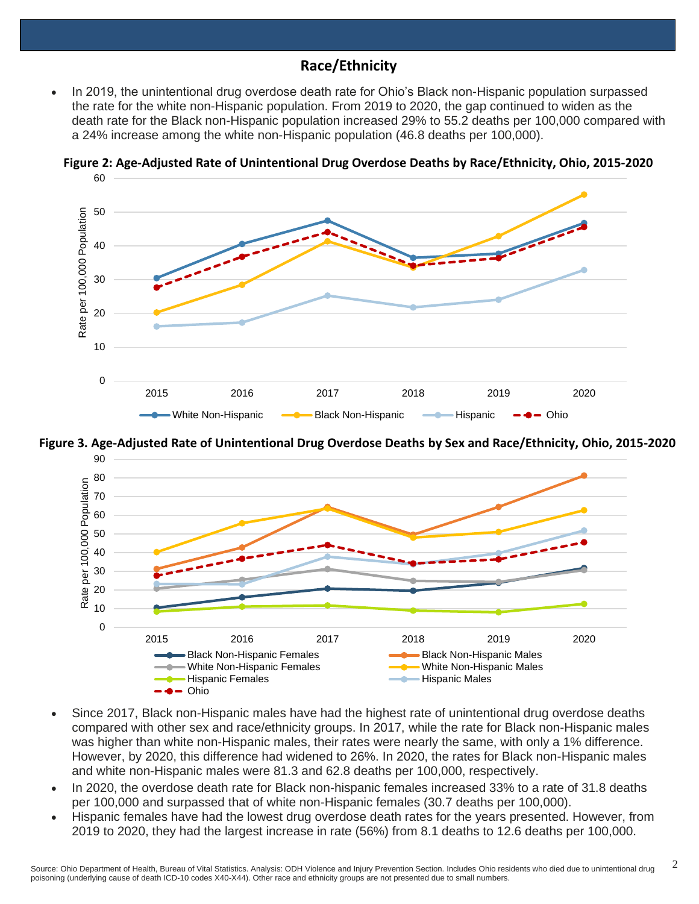## **Race/Ethnicity**

• In 2019, the unintentional drug overdose death rate for Ohio's Black non-Hispanic population surpassed the rate for the white non-Hispanic population. From 2019 to 2020, the gap continued to widen as the death rate for the Black non-Hispanic population increased 29% to 55.2 deaths per 100,000 compared with a 24% increase among the white non-Hispanic population (46.8 deaths per 100,000).



**Figure 2: Age-Adjusted Rate of Unintentional Drug Overdose Deaths by Race/Ethnicity, Ohio, 2015-2020** 60





- Since 2017, Black non-Hispanic males have had the highest rate of unintentional drug overdose deaths compared with other sex and race/ethnicity groups. In 2017, while the rate for Black non-Hispanic males was higher than white non-Hispanic males, their rates were nearly the same, with only a 1% difference. However, by 2020, this difference had widened to 26%. In 2020, the rates for Black non-Hispanic males and white non-Hispanic males were 81.3 and 62.8 deaths per 100,000, respectively.
- In 2020, the overdose death rate for Black non-hispanic females increased 33% to a rate of 31.8 deaths per 100,000 and surpassed that of white non-Hispanic females (30.7 deaths per 100,000).
- Hispanic females have had the lowest drug overdose death rates for the years presented. However, from 2019 to 2020, they had the largest increase in rate (56%) from 8.1 deaths to 12.6 deaths per 100,000.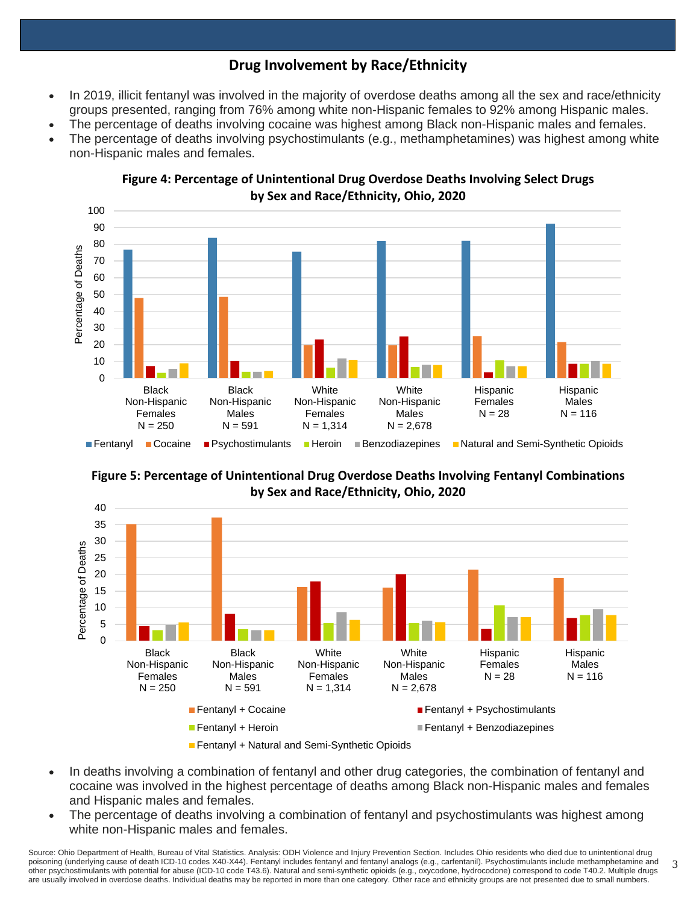## **Drug Involvement by Race/Ethnicity**

- In 2019, illicit fentanyl was involved in the majority of overdose deaths among all the sex and race/ethnicity groups presented, ranging from 76% among white non-Hispanic females to 92% among Hispanic males.
- The percentage of deaths involving cocaine was highest among Black non-Hispanic males and females.
- The percentage of deaths involving psychostimulants (e.g., methamphetamines) was highest among white non-Hispanic males and females.



**Figure 4: Percentage of Unintentional Drug Overdose Deaths Involving Select Drugs by Sex and Race/Ethnicity, Ohio, 2020**





- In deaths involving a combination of fentanyl and other drug categories, the combination of fentanyl and cocaine was involved in the highest percentage of deaths among Black non-Hispanic males and females and Hispanic males and females.
- The percentage of deaths involving a combination of fentanyl and psychostimulants was highest among white non-Hispanic males and females.

3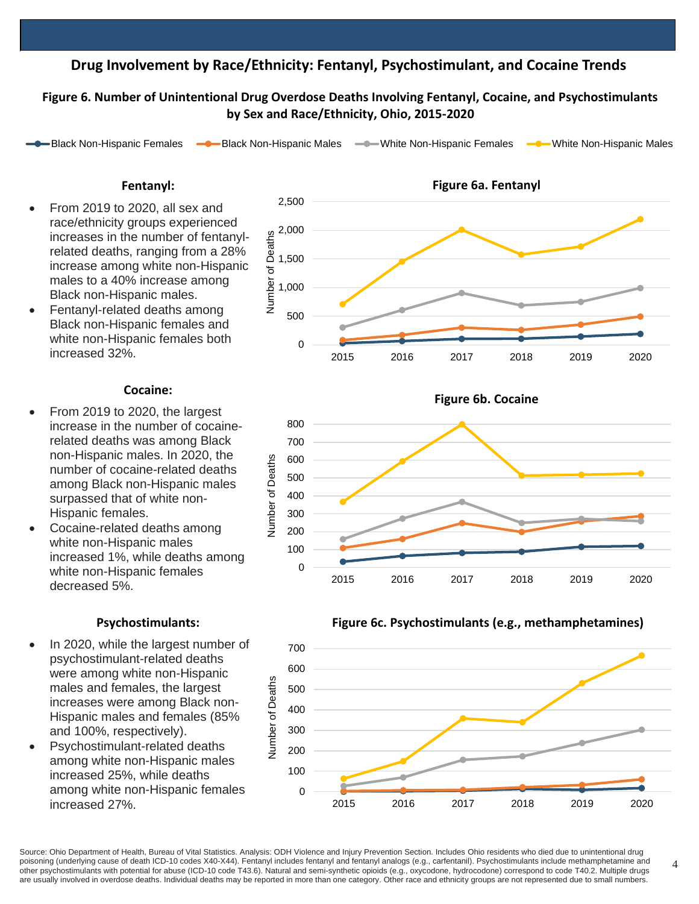## **Drug Involvement by Race/Ethnicity: Fentanyl, Psychostimulant, and Cocaine Trends**

#### Figure 6. Number of Unintentional Drug Overdose Deaths Involving Fentanyl, Cocaine, and Psychostimulants **by Sex and Race/Ethnicity, Ohio, 2015-2020**

Black Non-Hispanic Females  $\longrightarrow$ Black Non-Hispanic Males  $\longrightarrow$  White Non-Hispanic Females  $\longrightarrow$  White Non-Hispanic Males

#### **Fentanyl:**

- From 2019 to 2020, all sex and race/ethnicity groups experienced increases in the number of fentanylrelated deaths, ranging from a 28% increase among white non-Hispanic males to a 40% increase among Black non-Hispanic males.
- Fentanyl-related deaths among Black non-Hispanic females and white non-Hispanic females both increased 32%.

#### **Cocaine:**

- From 2019 to 2020, the largest increase in the number of cocainerelated deaths was among Black non-Hispanic males. In 2020, the number of cocaine-related deaths among Black non-Hispanic males surpassed that of white non-Hispanic females.
- Cocaine-related deaths among white non-Hispanic males increased 1%, while deaths among white non-Hispanic females decreased 5%.

#### **Psychostimulants:**

- In 2020, while the largest number of psychostimulant-related deaths were among white non-Hispanic males and females, the largest increases were among Black non-Hispanic males and females (85% and 100%, respectively).
- Psychostimulant-related deaths among white non-Hispanic males increased 25%, while deaths among white non-Hispanic females increased 27%.









Source: Ohio Department of Health, Bureau of Vital Statistics. Analysis: ODH Violence and Injury Prevention Section. Includes Ohio residents who died due to unintentional drug poisoning (underlying cause of death ICD-10 codes X40-X44). Fentanyl includes fentanyl and fentanyl analogs (e.g., carfentanil). Psychostimulants include methamphetamine and other psychostimulants with potential for abuse (ICD-10 code T43.6). Natural and semi-synthetic opioids (e.g., oxycodone, hydrocodone) correspond to code T40.2. Multiple drugs are usually involved in overdose deaths. Individual deaths may be reported in more than one category. Other race and ethnicity groups are not represented due to small numbers.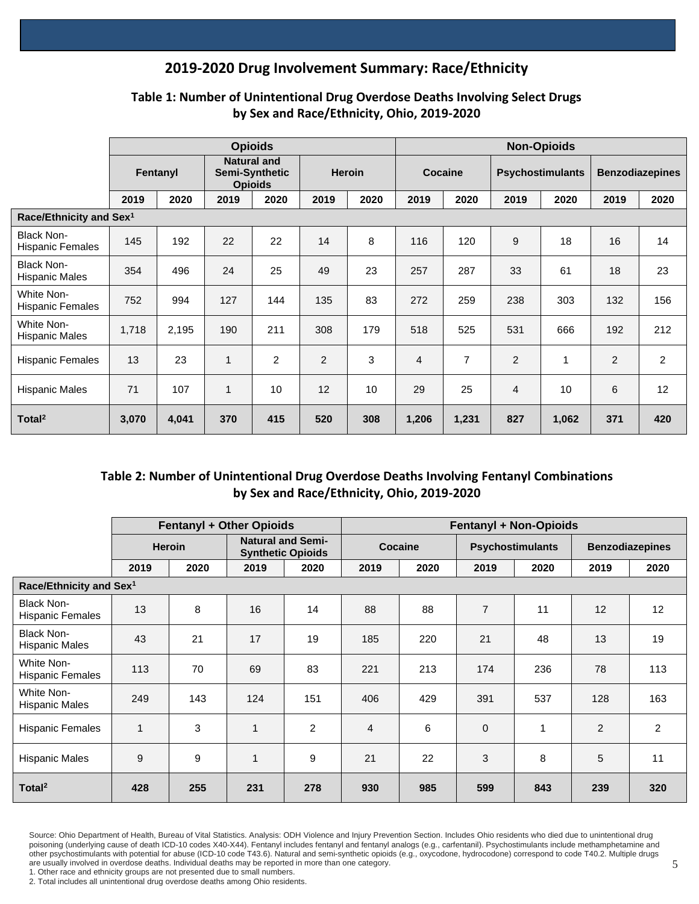## **2019-2020 Drug Involvement Summary: Race/Ethnicity**

|                                       | <b>Opioids</b> |       |                                                        |      |                |      |                | <b>Non-Opioids</b> |                         |       |                        |                |  |  |
|---------------------------------------|----------------|-------|--------------------------------------------------------|------|----------------|------|----------------|--------------------|-------------------------|-------|------------------------|----------------|--|--|
|                                       | Fentanyl       |       | <b>Natural and</b><br>Semi-Synthetic<br><b>Opioids</b> |      | <b>Heroin</b>  |      | Cocaine        |                    | <b>Psychostimulants</b> |       | <b>Benzodiazepines</b> |                |  |  |
|                                       | 2019           | 2020  | 2019                                                   | 2020 | 2019           | 2020 | 2019           | 2020               | 2019                    | 2020  | 2019                   | 2020           |  |  |
| Race/Ethnicity and Sex $^1$           |                |       |                                                        |      |                |      |                |                    |                         |       |                        |                |  |  |
| <b>Black Non-</b><br>Hispanic Females | 145            | 192   | 22                                                     | 22   | 14             | 8    | 116            | 120                | 9                       | 18    | 16                     | 14             |  |  |
| <b>Black Non-</b><br>Hispanic Males   | 354            | 496   | 24                                                     | 25   | 49             | 23   | 257            | 287                | 33                      | 61    | 18                     | 23             |  |  |
| White Non-<br>Hispanic Females        | 752            | 994   | 127                                                    | 144  | 135            | 83   | 272            | 259                | 238                     | 303   | 132                    | 156            |  |  |
| White Non-<br>Hispanic Males          | 1,718          | 2,195 | 190                                                    | 211  | 308            | 179  | 518            | 525                | 531                     | 666   | 192                    | 212            |  |  |
| Hispanic Females                      | 13             | 23    | 1                                                      | 2    | $\overline{2}$ | 3    | $\overline{4}$ | 7                  | $\overline{c}$          | 1     | 2                      | $\overline{2}$ |  |  |
| Hispanic Males                        | 71             | 107   | $\mathbf{1}$                                           | 10   | 12             | 10   | 29             | 25                 | $\overline{4}$          | 10    | 6                      | 12             |  |  |
| Total <sup>2</sup>                    | 3,070          | 4,041 | 370                                                    | 415  | 520            | 308  | 1,206          | 1,231              | 827                     | 1,062 | 371                    | 420            |  |  |

## **Table 1: Number of Unintentional Drug Overdose Deaths Involving Select Drugs by Sex and Race/Ethnicity, Ohio, 2019-2020**

## **Table 2: Number of Unintentional Drug Overdose Deaths Involving Fentanyl Combinations by Sex and Race/Ethnicity, Ohio, 2019-2020**

|                                       |                |      | Fentanyl + Other Opioids                             |                | <b>Fentanyl + Non-Opioids</b> |      |                         |      |                        |      |  |  |
|---------------------------------------|----------------|------|------------------------------------------------------|----------------|-------------------------------|------|-------------------------|------|------------------------|------|--|--|
|                                       | <b>Heroin</b>  |      | <b>Natural and Semi-</b><br><b>Synthetic Opioids</b> |                | <b>Cocaine</b>                |      | <b>Psychostimulants</b> |      | <b>Benzodiazepines</b> |      |  |  |
|                                       | 2019           | 2020 | 2019                                                 | 2020           | 2019                          | 2020 | 2019                    | 2020 | 2019                   | 2020 |  |  |
| Race/Ethnicity and Sex <sup>1</sup>   |                |      |                                                      |                |                               |      |                         |      |                        |      |  |  |
| <b>Black Non-</b><br>Hispanic Females | 13             | 8    | 16                                                   | 14             | 88                            | 88   | $\overline{7}$          | 11   | 12                     | 12   |  |  |
| Black Non-<br>Hispanic Males          | 43             | 21   | 17                                                   | 19             | 185                           | 220  | 21                      | 48   | 13                     | 19   |  |  |
| White Non-<br>Hispanic Females        | 113            | 70   | 69                                                   | 83             | 221                           | 213  | 174                     | 236  | 78                     | 113  |  |  |
| White Non-<br>Hispanic Males          | 249            | 143  | 124                                                  | 151            | 406                           | 429  | 391                     | 537  | 128                    | 163  |  |  |
| <b>Hispanic Females</b>               | $\overline{1}$ | 3    | $\mathbf{1}$                                         | $\overline{2}$ | $\overline{4}$                | 6    | $\mathbf 0$             | 1    | 2                      | 2    |  |  |
| Hispanic Males                        | 9              | 9    | $\mathbf{1}$                                         | 9              | 21                            | 22   | 3                       | 8    | 5                      | 11   |  |  |
| Total <sup>2</sup>                    | 428            | 255  | 231                                                  | 278            | 930                           | 985  | 599                     | 843  | 239                    | 320  |  |  |

Source: Ohio Department of Health, Bureau of Vital Statistics. Analysis: ODH Violence and Injury Prevention Section. Includes Ohio residents who died due to unintentional drug poisoning (underlying cause of death ICD-10 codes X40-X44). Fentanyl includes fentanyl and fentanyl analogs (e.g., carfentanil). Psychostimulants include methamphetamine and other psychostimulants with potential for abuse (ICD-10 code T43.6). Natural and semi-synthetic opioids (e.g., oxycodone, hydrocodone) correspond to code T40.2. Multiple drugs are usually involved in overdose deaths. Individual deaths may be reported in more than one category.

1. Other race and ethnicity groups are not presented due to small numbers.

2. Total includes all unintentional drug overdose deaths among Ohio residents.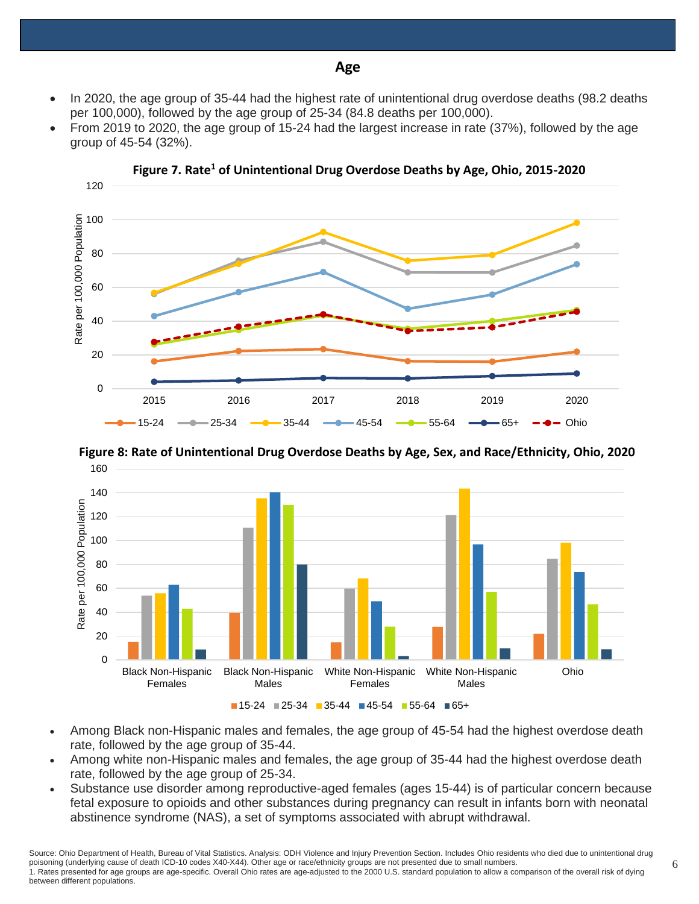• In 2020, the age group of 35-44 had the highest rate of unintentional drug overdose deaths (98.2 deaths per 100,000), followed by the age group of 25-34 (84.8 deaths per 100,000).

**Age**

• From 2019 to 2020, the age group of 15-24 had the largest increase in rate (37%), followed by the age group of 45-54 (32%).







**Figure 8: Rate of Unintentional Drug Overdose Deaths by Age, Sex, and Race/Ethnicity, Ohio, 2020**

- Among Black non-Hispanic males and females, the age group of 45-54 had the highest overdose death rate, followed by the age group of 35-44.
- Among white non-Hispanic males and females, the age group of 35-44 had the highest overdose death rate, followed by the age group of 25-34.
- Substance use disorder among reproductive-aged females (ages 15-44) is of particular concern because fetal exposure to opioids and other substances during pregnancy can result in infants born with neonatal abstinence syndrome (NAS), a set of symptoms associated with abrupt withdrawal.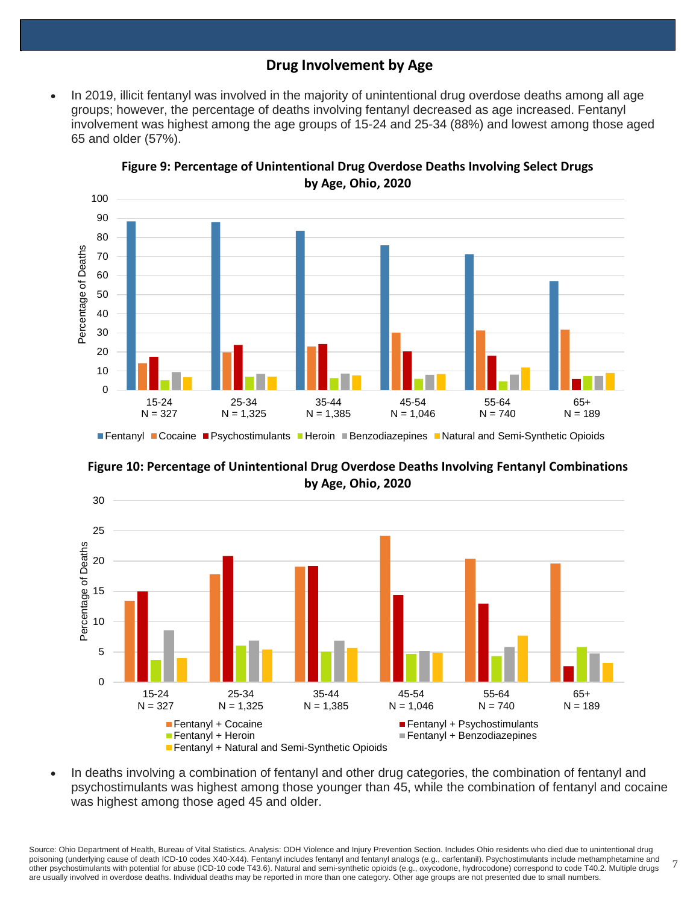## **Drug Involvement by Age**

• In 2019, illicit fentanyl was involved in the majority of unintentional drug overdose deaths among all age groups; however, the percentage of deaths involving fentanyl decreased as age increased. Fentanyl involvement was highest among the age groups of 15-24 and 25-34 (88%) and lowest among those aged 65 and older (57%).



**Figure 9: Percentage of Unintentional Drug Overdose Deaths Involving Select Drugs by Age, Ohio, 2020**

**Figure 10: Percentage of Unintentional Drug Overdose Deaths Involving Fentanyl Combinations by Age, Ohio, 2020**



• In deaths involving a combination of fentanyl and other drug categories, the combination of fentanyl and psychostimulants was highest among those younger than 45, while the combination of fentanyl and cocaine was highest among those aged 45 and older.

7 Source: Ohio Department of Health, Bureau of Vital Statistics. Analysis: ODH Violence and Injury Prevention Section. Includes Ohio residents who died due to unintentional drug poisoning (underlying cause of death ICD-10 codes X40-X44). Fentanyl includes fentanyl and fentanyl analogs (e.g., carfentanil). Psychostimulants include methamphetamine and other psychostimulants with potential for abuse (ICD-10 code T43.6). Natural and semi-synthetic opioids (e.g., oxycodone, hydrocodone) correspond to code T40.2. Multiple drugs are usually involved in overdose deaths. Individual deaths may be reported in more than one category. Other age groups are not presented due to small numbers.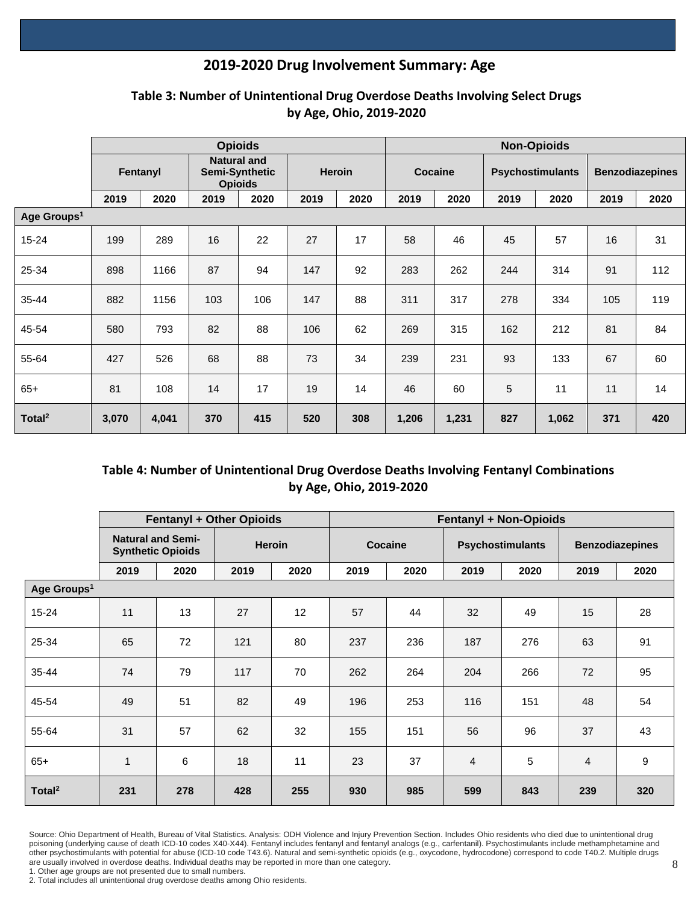## **2019-2020 Drug Involvement Summary: Age**

|                         | <b>Opioids</b> |       |                                                        |      |               |      |         | <b>Non-Opioids</b> |                         |       |                        |      |  |  |
|-------------------------|----------------|-------|--------------------------------------------------------|------|---------------|------|---------|--------------------|-------------------------|-------|------------------------|------|--|--|
|                         | Fentanyl       |       | <b>Natural and</b><br>Semi-Synthetic<br><b>Opioids</b> |      | <b>Heroin</b> |      | Cocaine |                    | <b>Psychostimulants</b> |       | <b>Benzodiazepines</b> |      |  |  |
|                         | 2019           | 2020  | 2019                                                   | 2020 | 2019          | 2020 | 2019    | 2020               | 2019                    | 2020  | 2019                   | 2020 |  |  |
| Age Groups <sup>1</sup> |                |       |                                                        |      |               |      |         |                    |                         |       |                        |      |  |  |
| $15 - 24$               | 199            | 289   | 16                                                     | 22   | 27            | 17   | 58      | 46                 | 45                      | 57    | 16                     | 31   |  |  |
| 25-34                   | 898            | 1166  | 87                                                     | 94   | 147           | 92   | 283     | 262                | 244                     | 314   | 91                     | 112  |  |  |
| $35 - 44$               | 882            | 1156  | 103                                                    | 106  | 147           | 88   | 311     | 317                | 278                     | 334   | 105                    | 119  |  |  |
| 45-54                   | 580            | 793   | 82                                                     | 88   | 106           | 62   | 269     | 315                | 162                     | 212   | 81                     | 84   |  |  |
| 55-64                   | 427            | 526   | 68                                                     | 88   | 73            | 34   | 239     | 231                | 93                      | 133   | 67                     | 60   |  |  |
| $65+$                   | 81             | 108   | 14                                                     | 17   | 19            | 14   | 46      | 60                 | 5                       | 11    | 11                     | 14   |  |  |
| Total <sup>2</sup>      | 3,070          | 4,041 | 370                                                    | 415  | 520           | 308  | 1,206   | 1,231              | 827                     | 1,062 | 371                    | 420  |  |  |

## **Table 3: Number of Unintentional Drug Overdose Deaths Involving Select Drugs by Age, Ohio, 2019-2020**

## **Table 4: Number of Unintentional Drug Overdose Deaths Involving Fentanyl Combinations by Age, Ohio, 2019-2020**

|                         |                                                      | <b>Fentanyl + Other Opioids</b> |        |      | <b>Fentanyl + Non-Opioids</b> |      |                |                         |                        |      |  |  |
|-------------------------|------------------------------------------------------|---------------------------------|--------|------|-------------------------------|------|----------------|-------------------------|------------------------|------|--|--|
|                         | <b>Natural and Semi-</b><br><b>Synthetic Opioids</b> |                                 | Heroin |      | Cocaine                       |      |                | <b>Psychostimulants</b> | <b>Benzodiazepines</b> |      |  |  |
|                         | 2019                                                 | 2020                            | 2019   | 2020 | 2019                          | 2020 | 2019           | 2020                    | 2019                   | 2020 |  |  |
| Age Groups <sup>1</sup> |                                                      |                                 |        |      |                               |      |                |                         |                        |      |  |  |
| $15 - 24$               | 11                                                   | 13                              | 27     | 12   | 57                            | 44   | 32             | 49                      | 15                     | 28   |  |  |
| 25-34                   | 65                                                   | 72                              | 121    | 80   | 237                           | 236  | 187            | 276                     | 63                     | 91   |  |  |
| $35 - 44$               | 74                                                   | 79                              | 117    | 70   | 262                           | 264  | 204            | 266                     | 72                     | 95   |  |  |
| 45-54                   | 49                                                   | 51                              | 82     | 49   | 196                           | 253  | 116            | 151                     | 48                     | 54   |  |  |
| 55-64                   | 31                                                   | 57                              | 62     | 32   | 155                           | 151  | 56             | 96                      | 37                     | 43   |  |  |
| $65+$                   | 1                                                    | 6                               | 18     | 11   | 23                            | 37   | $\overline{4}$ | 5                       | $\overline{4}$         | 9    |  |  |
| Total <sup>2</sup>      | 231                                                  | 278                             | 428    | 255  | 930                           | 985  | 599            | 843                     | 239                    | 320  |  |  |

Source: Ohio Department of Health, Bureau of Vital Statistics. Analysis: ODH Violence and Injury Prevention Section. Includes Ohio residents who died due to unintentional drug poisoning (underlying cause of death ICD-10 codes X40-X44). Fentanyl includes fentanyl and fentanyl analogs (e.g., carfentanil). Psychostimulants include methamphetamine and other psychostimulants with potential for abuse (ICD-10 code T43.6). Natural and semi-synthetic opioids (e.g., oxycodone, hydrocodone) correspond to code T40.2. Multiple drugs are usually involved in overdose deaths. Individual deaths may be reported in more than one category.

1. Other age groups are not presented due to small numbers.

<sup>2.</sup> Total includes all unintentional drug overdose deaths among Ohio residents.